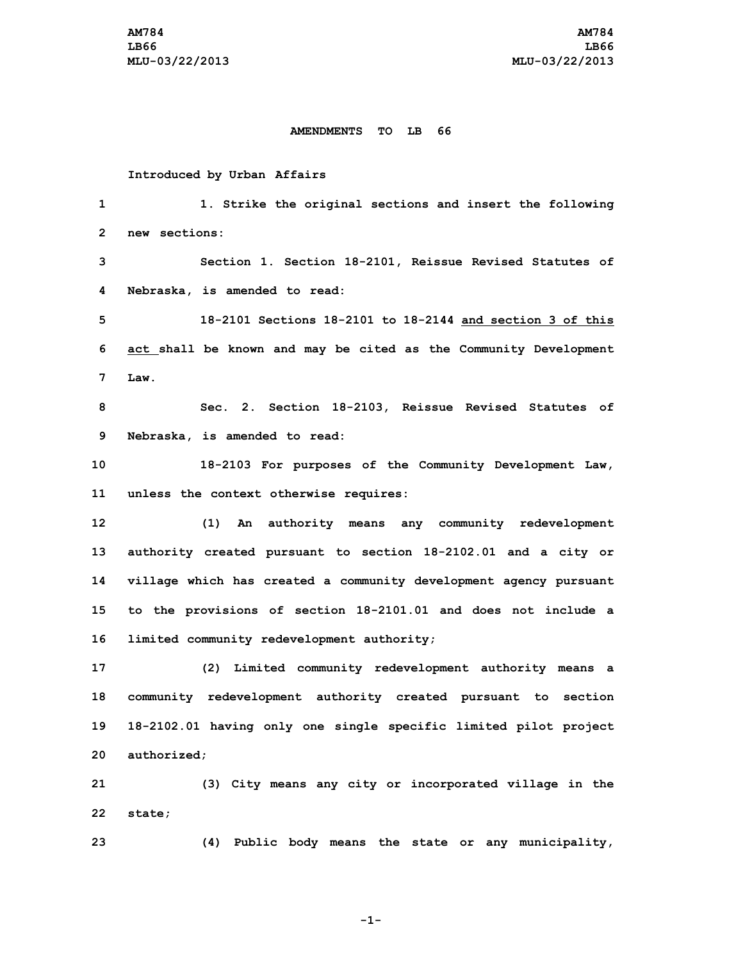#### **AMENDMENTS TO LB 66**

### **Introduced by Urban Affairs**

 **1. Strike the original sections and insert the following new sections: Section 1. Section 18-2101, Reissue Revised Statutes of Nebraska, is amended to read: 18-2101 Sections 18-2101 to 18-2144 and section 3 of this act shall be known and may be cited as the Community Development 7 Law. Sec. 2. Section 18-2103, Reissue Revised Statutes of Nebraska, is amended to read: 18-2103 For purposes of the Community Development Law, unless the context otherwise requires: (1) An authority means any community redevelopment authority created pursuant to section 18-2102.01 and <sup>a</sup> city or village which has created <sup>a</sup> community development agency pursuant to the provisions of section 18-2101.01 and does not include <sup>a</sup> limited community redevelopment authority; (2) Limited community redevelopment authority means <sup>a</sup> community redevelopment authority created pursuant to section 18-2102.01 having only one single specific limited pilot project authorized; (3) City means any city or incorporated village in the 22 state;**

**-1-**

**23 (4) Public body means the state or any municipality,**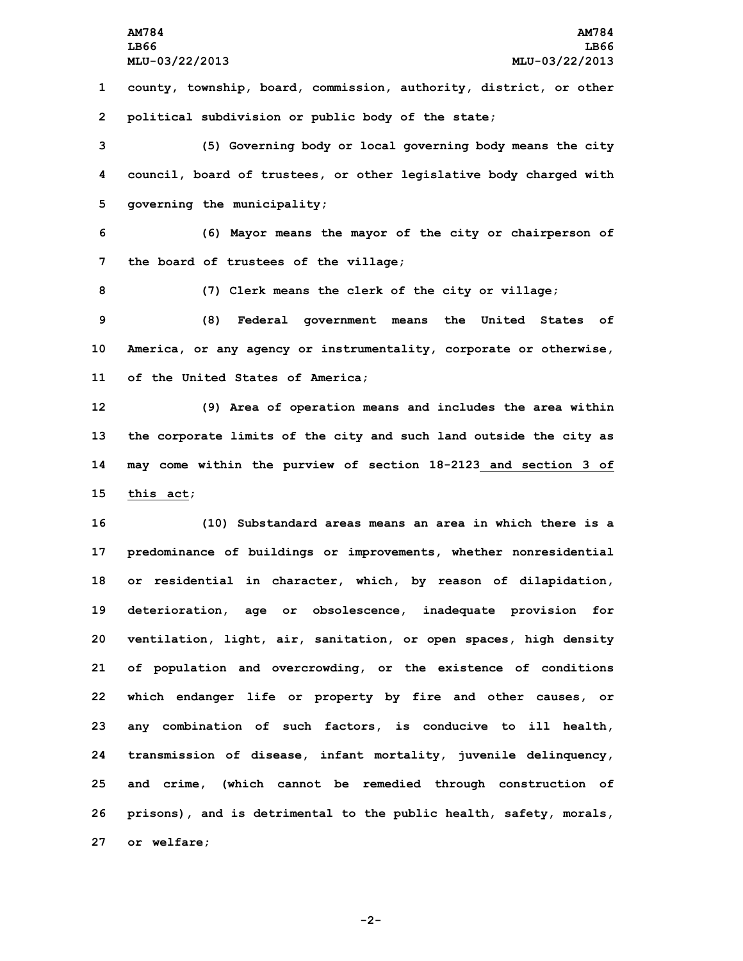**AM784 AM784 LB66 LB66 MLU-03/22/2013 MLU-03/22/2013 county, township, board, commission, authority, district, or other political subdivision or public body of the state; (5) Governing body or local governing body means the city council, board of trustees, or other legislative body charged with governing the municipality;**

**6 (6) Mayor means the mayor of the city or chairperson of 7 the board of trustees of the village;**

**8 (7) Clerk means the clerk of the city or village;**

**9 (8) Federal government means the United States of 10 America, or any agency or instrumentality, corporate or otherwise, 11 of the United States of America;**

 **(9) Area of operation means and includes the area within the corporate limits of the city and such land outside the city as may come within the purview of section 18-2123 and section 3 of this act;**

 **(10) Substandard areas means an area in which there is <sup>a</sup> predominance of buildings or improvements, whether nonresidential or residential in character, which, by reason of dilapidation, deterioration, age or obsolescence, inadequate provision for ventilation, light, air, sanitation, or open spaces, high density of population and overcrowding, or the existence of conditions which endanger life or property by fire and other causes, or any combination of such factors, is conducive to ill health, transmission of disease, infant mortality, juvenile delinquency, and crime, (which cannot be remedied through construction of prisons), and is detrimental to the public health, safety, morals, or welfare;**

**-2-**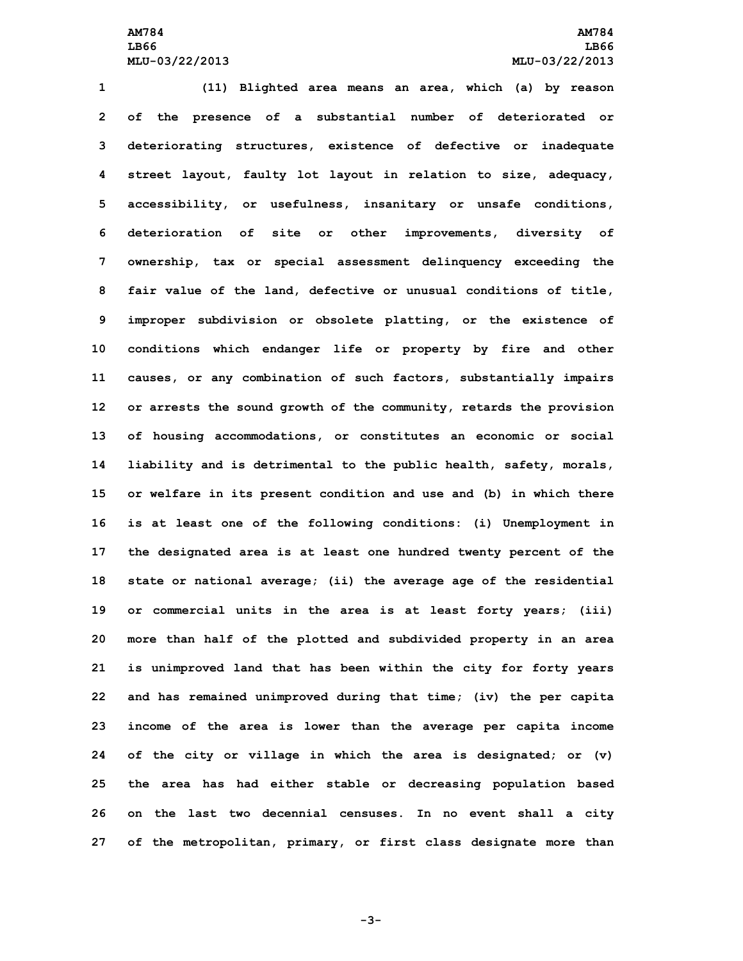**(11) Blighted area means an area, which (a) by reason of the presence of <sup>a</sup> substantial number of deteriorated or deteriorating structures, existence of defective or inadequate street layout, faulty lot layout in relation to size, adequacy, accessibility, or usefulness, insanitary or unsafe conditions, deterioration of site or other improvements, diversity of ownership, tax or special assessment delinquency exceeding the fair value of the land, defective or unusual conditions of title, improper subdivision or obsolete platting, or the existence of conditions which endanger life or property by fire and other causes, or any combination of such factors, substantially impairs or arrests the sound growth of the community, retards the provision of housing accommodations, or constitutes an economic or social liability and is detrimental to the public health, safety, morals, or welfare in its present condition and use and (b) in which there is at least one of the following conditions: (i) Unemployment in the designated area is at least one hundred twenty percent of the state or national average; (ii) the average age of the residential or commercial units in the area is at least forty years; (iii) more than half of the plotted and subdivided property in an area is unimproved land that has been within the city for forty years and has remained unimproved during that time; (iv) the per capita income of the area is lower than the average per capita income of the city or village in which the area is designated; or (v) the area has had either stable or decreasing population based on the last two decennial censuses. In no event shall <sup>a</sup> city of the metropolitan, primary, or first class designate more than**

**-3-**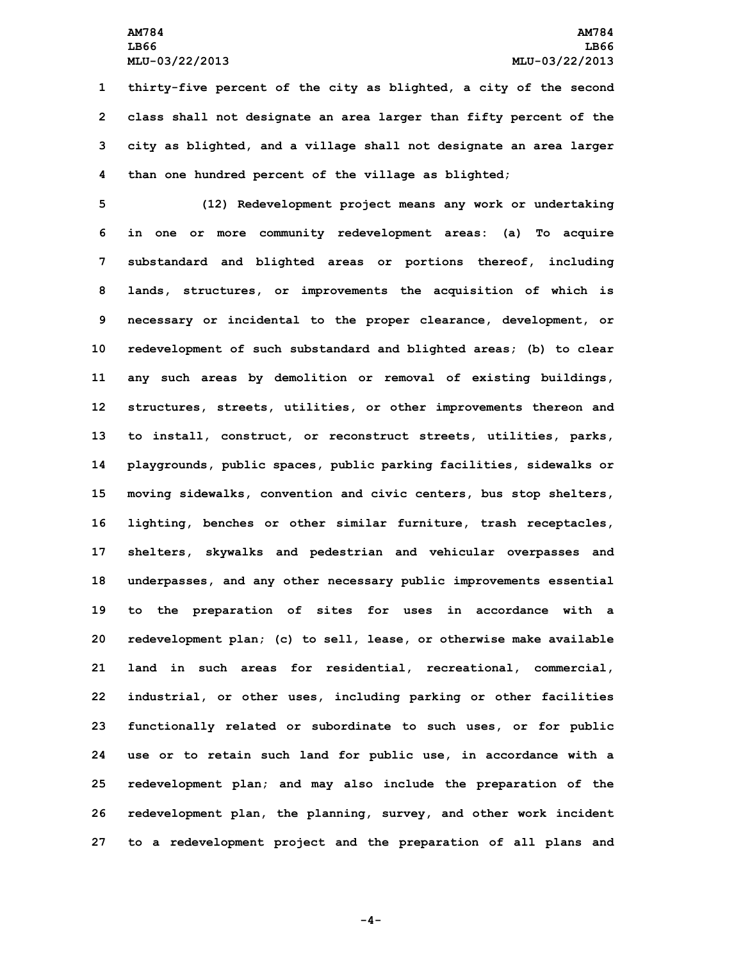**thirty-five percent of the city as blighted, <sup>a</sup> city of the second class shall not designate an area larger than fifty percent of the city as blighted, and <sup>a</sup> village shall not designate an area larger than one hundred percent of the village as blighted;**

 **(12) Redevelopment project means any work or undertaking in one or more community redevelopment areas: (a) To acquire substandard and blighted areas or portions thereof, including lands, structures, or improvements the acquisition of which is necessary or incidental to the proper clearance, development, or redevelopment of such substandard and blighted areas; (b) to clear any such areas by demolition or removal of existing buildings, structures, streets, utilities, or other improvements thereon and to install, construct, or reconstruct streets, utilities, parks, playgrounds, public spaces, public parking facilities, sidewalks or moving sidewalks, convention and civic centers, bus stop shelters, lighting, benches or other similar furniture, trash receptacles, shelters, skywalks and pedestrian and vehicular overpasses and underpasses, and any other necessary public improvements essential to the preparation of sites for uses in accordance with <sup>a</sup> redevelopment plan; (c) to sell, lease, or otherwise make available land in such areas for residential, recreational, commercial, industrial, or other uses, including parking or other facilities functionally related or subordinate to such uses, or for public use or to retain such land for public use, in accordance with <sup>a</sup> redevelopment plan; and may also include the preparation of the redevelopment plan, the planning, survey, and other work incident to <sup>a</sup> redevelopment project and the preparation of all plans and**

**-4-**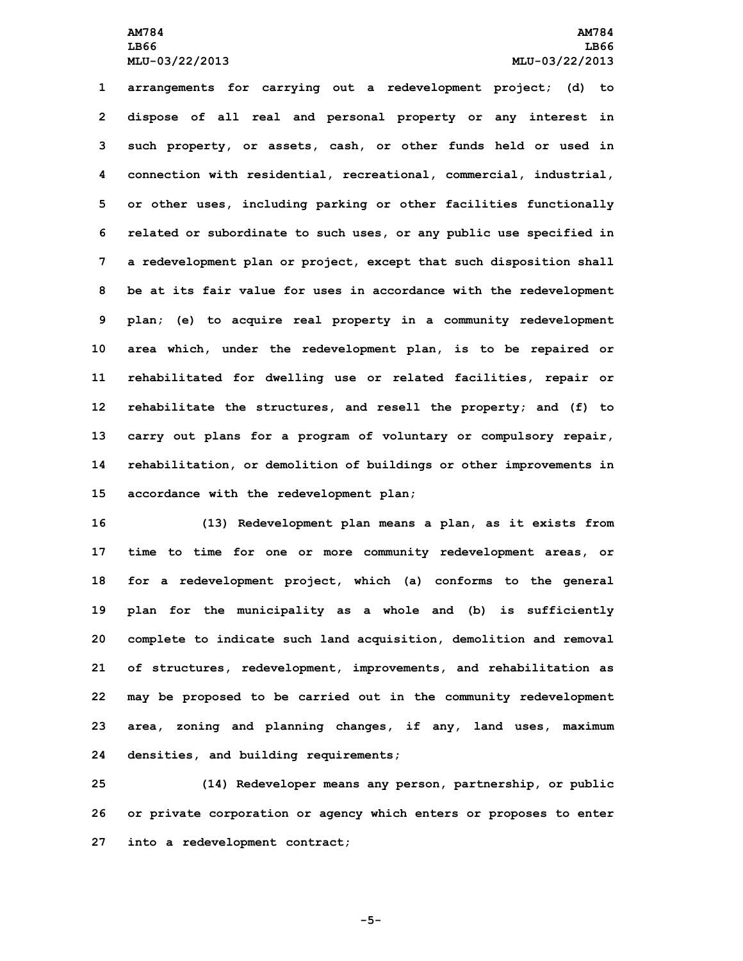**arrangements for carrying out <sup>a</sup> redevelopment project; (d) to dispose of all real and personal property or any interest in such property, or assets, cash, or other funds held or used in connection with residential, recreational, commercial, industrial, or other uses, including parking or other facilities functionally related or subordinate to such uses, or any public use specified in <sup>a</sup> redevelopment plan or project, except that such disposition shall be at its fair value for uses in accordance with the redevelopment plan; (e) to acquire real property in <sup>a</sup> community redevelopment area which, under the redevelopment plan, is to be repaired or rehabilitated for dwelling use or related facilities, repair or rehabilitate the structures, and resell the property; and (f) to carry out plans for <sup>a</sup> program of voluntary or compulsory repair, rehabilitation, or demolition of buildings or other improvements in accordance with the redevelopment plan;**

 **(13) Redevelopment plan means <sup>a</sup> plan, as it exists from time to time for one or more community redevelopment areas, or for <sup>a</sup> redevelopment project, which (a) conforms to the general plan for the municipality as <sup>a</sup> whole and (b) is sufficiently complete to indicate such land acquisition, demolition and removal of structures, redevelopment, improvements, and rehabilitation as may be proposed to be carried out in the community redevelopment area, zoning and planning changes, if any, land uses, maximum densities, and building requirements;**

**25 (14) Redeveloper means any person, partnership, or public 26 or private corporation or agency which enters or proposes to enter 27 into <sup>a</sup> redevelopment contract;**

**-5-**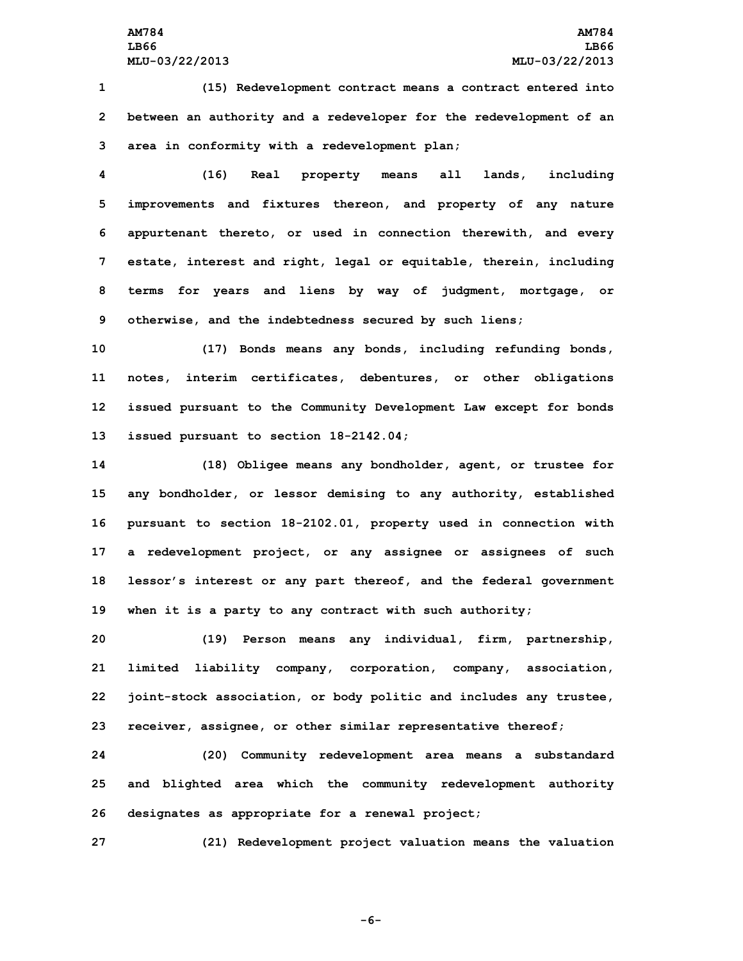## **AM784 AM784 LB66 LB66 MLU-03/22/2013 MLU-03/22/2013**

**1 (15) Redevelopment contract means <sup>a</sup> contract entered into 2 between an authority and <sup>a</sup> redeveloper for the redevelopment of an 3 area in conformity with <sup>a</sup> redevelopment plan;**

 **(16) Real property means all lands, including improvements and fixtures thereon, and property of any nature appurtenant thereto, or used in connection therewith, and every estate, interest and right, legal or equitable, therein, including terms for years and liens by way of judgment, mortgage, or otherwise, and the indebtedness secured by such liens;**

 **(17) Bonds means any bonds, including refunding bonds, notes, interim certificates, debentures, or other obligations issued pursuant to the Community Development Law except for bonds issued pursuant to section 18-2142.04;**

 **(18) Obligee means any bondholder, agent, or trustee for any bondholder, or lessor demising to any authority, established pursuant to section 18-2102.01, property used in connection with <sup>a</sup> redevelopment project, or any assignee or assignees of such lessor's interest or any part thereof, and the federal government when it is <sup>a</sup> party to any contract with such authority;**

 **(19) Person means any individual, firm, partnership, limited liability company, corporation, company, association, joint-stock association, or body politic and includes any trustee, receiver, assignee, or other similar representative thereof;**

**24 (20) Community redevelopment area means <sup>a</sup> substandard 25 and blighted area which the community redevelopment authority 26 designates as appropriate for <sup>a</sup> renewal project;**

**27 (21) Redevelopment project valuation means the valuation**

**-6-**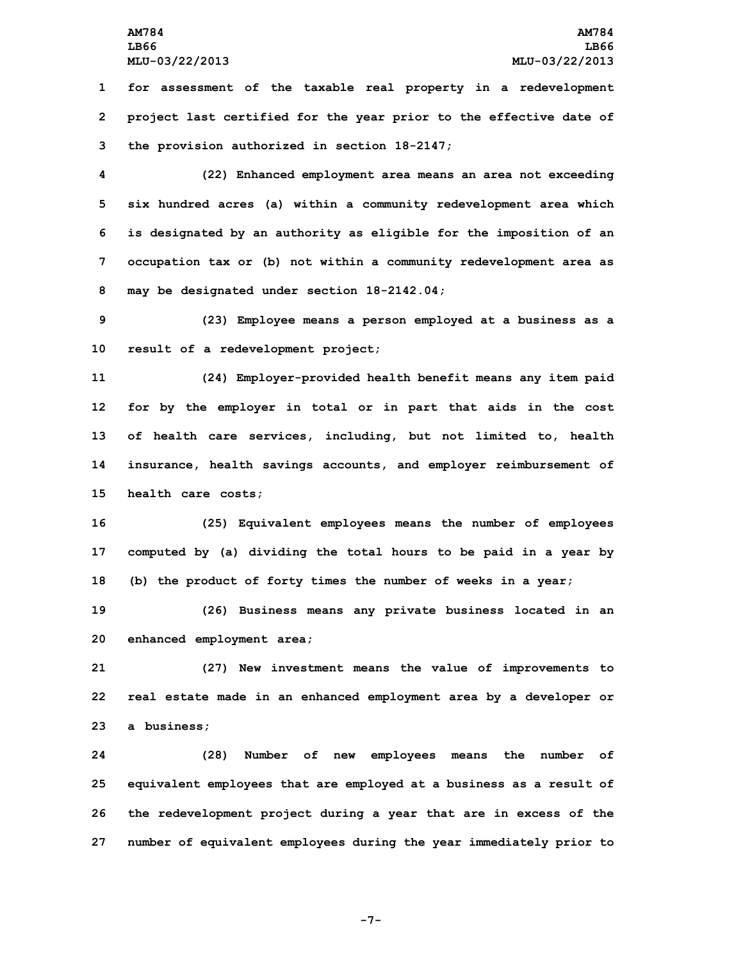**1 for assessment of the taxable real property in <sup>a</sup> redevelopment 2 project last certified for the year prior to the effective date of 3 the provision authorized in section 18-2147;**

 **(22) Enhanced employment area means an area not exceeding six hundred acres (a) within <sup>a</sup> community redevelopment area which is designated by an authority as eligible for the imposition of an occupation tax or (b) not within <sup>a</sup> community redevelopment area as may be designated under section 18-2142.04;**

**9 (23) Employee means <sup>a</sup> person employed at <sup>a</sup> business as <sup>a</sup> 10 result of <sup>a</sup> redevelopment project;**

 **(24) Employer-provided health benefit means any item paid for by the employer in total or in part that aids in the cost of health care services, including, but not limited to, health insurance, health savings accounts, and employer reimbursement of health care costs;**

**16 (25) Equivalent employees means the number of employees 17 computed by (a) dividing the total hours to be paid in <sup>a</sup> year by 18 (b) the product of forty times the number of weeks in <sup>a</sup> year;**

**19 (26) Business means any private business located in an 20 enhanced employment area;**

**21 (27) New investment means the value of improvements to 22 real estate made in an enhanced employment area by <sup>a</sup> developer or 23 <sup>a</sup> business;**

 **(28) Number of new employees means the number of equivalent employees that are employed at <sup>a</sup> business as <sup>a</sup> result of the redevelopment project during <sup>a</sup> year that are in excess of the number of equivalent employees during the year immediately prior to**

**-7-**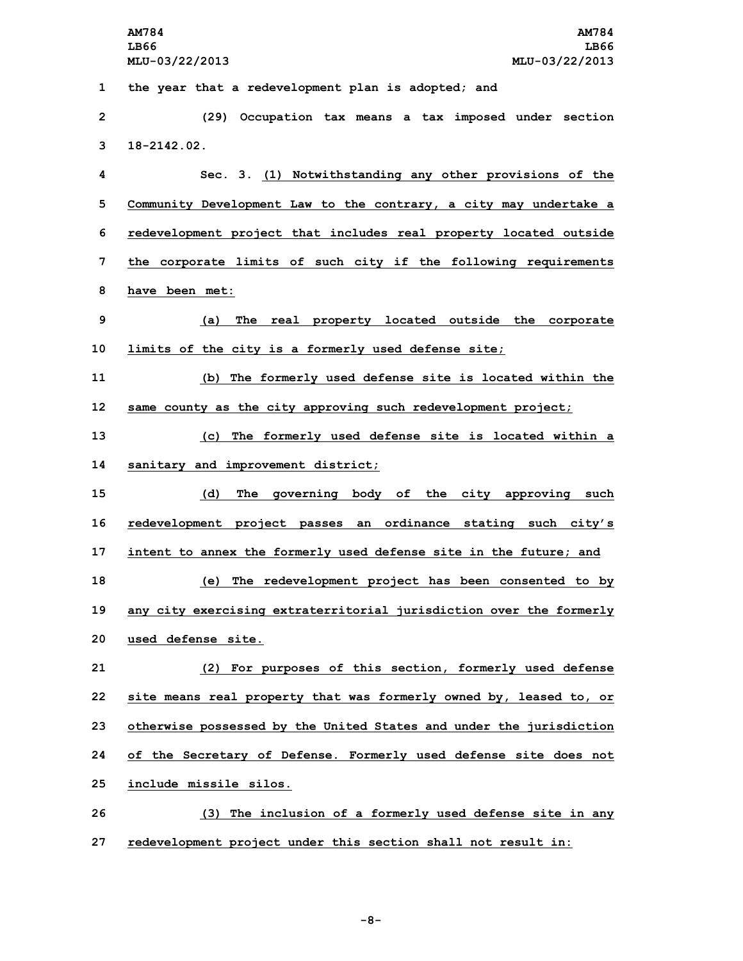|    | AM784<br>AM784                                                      |
|----|---------------------------------------------------------------------|
|    | LB66<br>LB66<br>MLU-03/22/2013<br>MLU-03/22/2013                    |
|    |                                                                     |
| 1  | the year that a redevelopment plan is adopted; and                  |
| 2  | (29)<br>Occupation tax means a tax imposed under section            |
| 3  | $18 - 2142.02$ .                                                    |
| 4  | Sec. 3. (1) Notwithstanding any other provisions of the             |
| 5  | Community Development Law to the contrary, a city may undertake a   |
| 6  | redevelopment project that includes real property located outside   |
| 7  | the corporate limits of such city if the following requirements     |
| 8  | have been met:                                                      |
| 9  | The real property located outside the corporate<br>(a)              |
| 10 | limits of the city is a formerly used defense site;                 |
| 11 | (b) The formerly used defense site is located within the            |
| 12 | same county as the city approving such redevelopment project;       |
| 13 | (c) The formerly used defense site is located within a              |
| 14 | sanitary and improvement district;                                  |
| 15 | (d)<br>The governing body of the city approving such                |
| 16 | redevelopment project passes an ordinance stating such city's       |
| 17 | intent to annex the formerly used defense site in the future; and   |
| 18 | (e) The redevelopment project has been consented to by              |
| 19 | any city exercising extraterritorial jurisdiction over the formerly |
| 20 | used defense site.                                                  |
| 21 | (2) For purposes of this section, formerly used defense             |
| 22 | site means real property that was formerly owned by, leased to, or  |
| 23 | otherwise possessed by the United States and under the jurisdiction |
| 24 | of the Secretary of Defense. Formerly used defense site does not    |
| 25 | include missile silos.                                              |
| 26 | (3) The inclusion of a formerly used defense site in any            |

**27 redevelopment project under this section shall not result in:**

**-8-**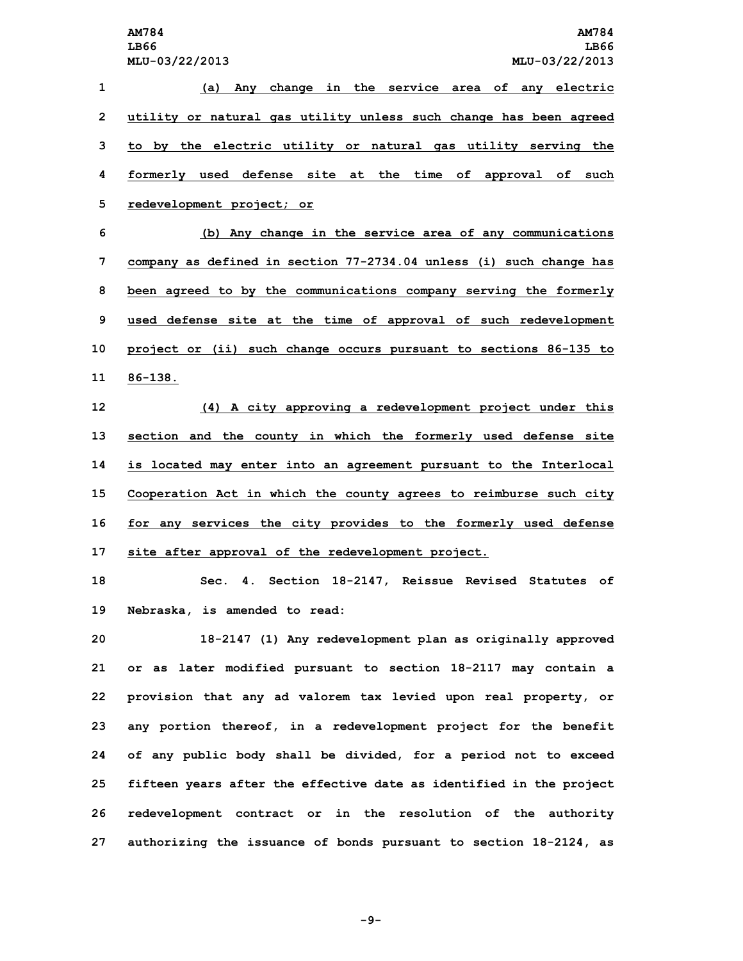**(a) Any change in the service area of any electric utility or natural gas utility unless such change has been agreed to by the electric utility or natural gas utility serving the formerly used defense site at the time of approval of such redevelopment project; or (b) Any change in the service area of any communications company as defined in section 77-2734.04 unless (i) such change has been agreed to by the communications company serving the formerly used defense site at the time of approval of such redevelopment**

**10 project or (ii) such change occurs pursuant to sections 86-135 to 11 86-138.**

 **(4) <sup>A</sup> city approving <sup>a</sup> redevelopment project under this section and the county in which the formerly used defense site is located may enter into an agreement pursuant to the Interlocal Cooperation Act in which the county agrees to reimburse such city for any services the city provides to the formerly used defense site after approval of the redevelopment project.**

**18 Sec. 4. Section 18-2147, Reissue Revised Statutes of 19 Nebraska, is amended to read:**

 **18-2147 (1) Any redevelopment plan as originally approved or as later modified pursuant to section 18-2117 may contain <sup>a</sup> provision that any ad valorem tax levied upon real property, or any portion thereof, in <sup>a</sup> redevelopment project for the benefit of any public body shall be divided, for <sup>a</sup> period not to exceed fifteen years after the effective date as identified in the project redevelopment contract or in the resolution of the authority authorizing the issuance of bonds pursuant to section 18-2124, as**

**-9-**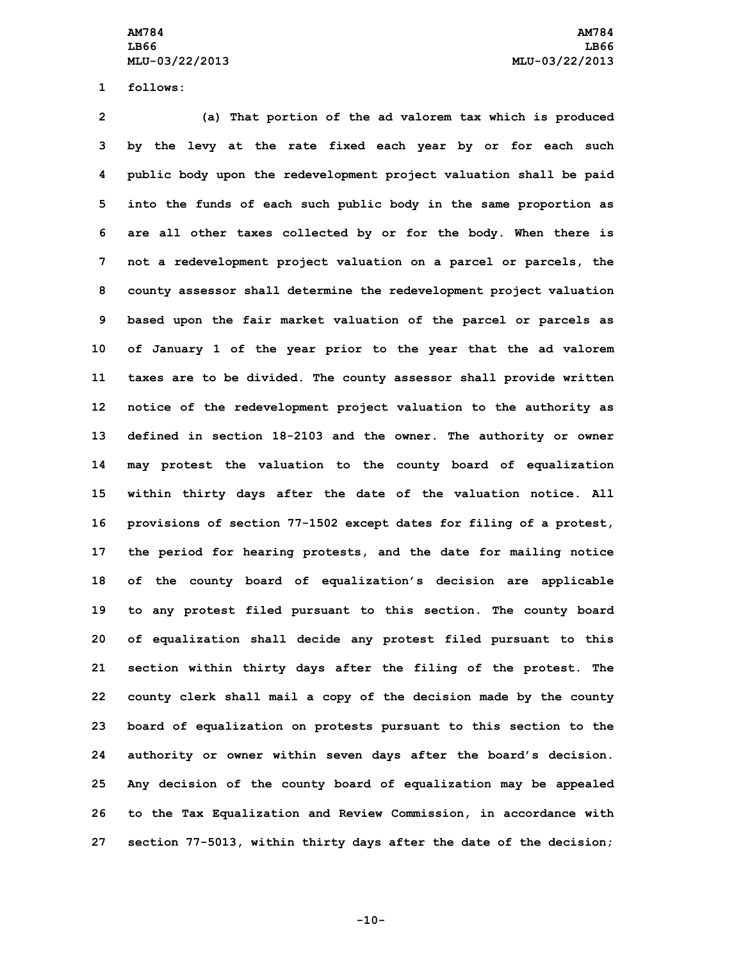**1 follows:**

 **(a) That portion of the ad valorem tax which is produced by the levy at the rate fixed each year by or for each such public body upon the redevelopment project valuation shall be paid into the funds of each such public body in the same proportion as are all other taxes collected by or for the body. When there is not <sup>a</sup> redevelopment project valuation on <sup>a</sup> parcel or parcels, the county assessor shall determine the redevelopment project valuation based upon the fair market valuation of the parcel or parcels as of January 1 of the year prior to the year that the ad valorem taxes are to be divided. The county assessor shall provide written notice of the redevelopment project valuation to the authority as defined in section 18-2103 and the owner. The authority or owner may protest the valuation to the county board of equalization within thirty days after the date of the valuation notice. All provisions of section 77-1502 except dates for filing of <sup>a</sup> protest, the period for hearing protests, and the date for mailing notice of the county board of equalization's decision are applicable to any protest filed pursuant to this section. The county board of equalization shall decide any protest filed pursuant to this section within thirty days after the filing of the protest. The county clerk shall mail <sup>a</sup> copy of the decision made by the county board of equalization on protests pursuant to this section to the authority or owner within seven days after the board's decision. Any decision of the county board of equalization may be appealed to the Tax Equalization and Review Commission, in accordance with section 77-5013, within thirty days after the date of the decision;**

**-10-**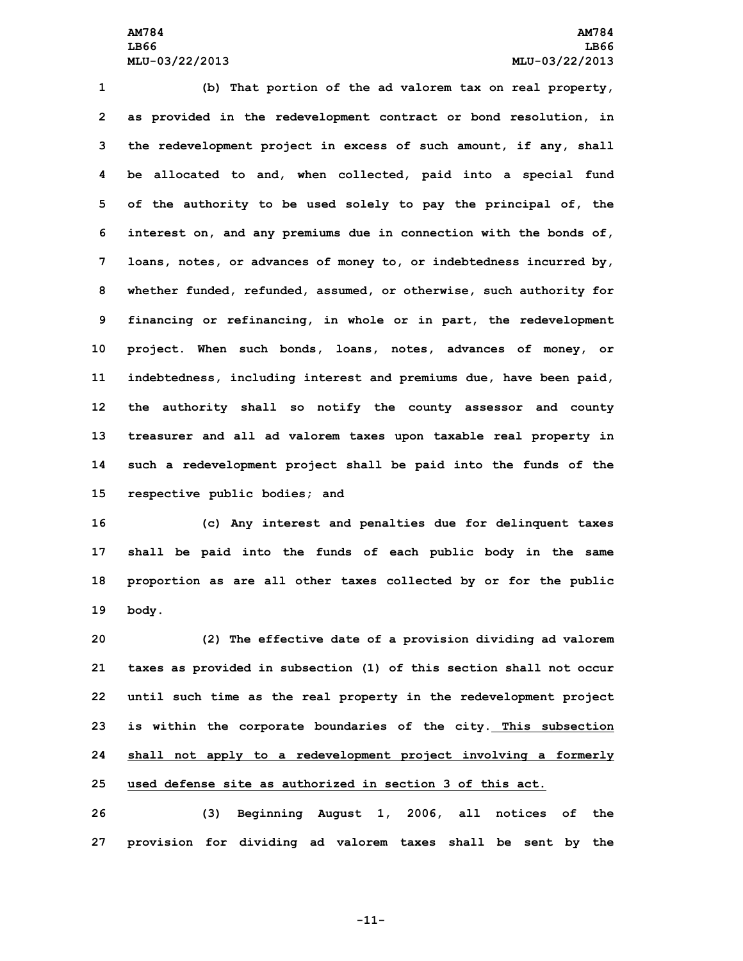# **AM784 AM784 LB66 LB66 MLU-03/22/2013 MLU-03/22/2013**

 **(b) That portion of the ad valorem tax on real property, as provided in the redevelopment contract or bond resolution, in the redevelopment project in excess of such amount, if any, shall be allocated to and, when collected, paid into <sup>a</sup> special fund of the authority to be used solely to pay the principal of, the interest on, and any premiums due in connection with the bonds of, loans, notes, or advances of money to, or indebtedness incurred by, whether funded, refunded, assumed, or otherwise, such authority for financing or refinancing, in whole or in part, the redevelopment project. When such bonds, loans, notes, advances of money, or indebtedness, including interest and premiums due, have been paid, the authority shall so notify the county assessor and county treasurer and all ad valorem taxes upon taxable real property in such <sup>a</sup> redevelopment project shall be paid into the funds of the respective public bodies; and**

 **(c) Any interest and penalties due for delinquent taxes shall be paid into the funds of each public body in the same proportion as are all other taxes collected by or for the public 19 body.**

 **(2) The effective date of <sup>a</sup> provision dividing ad valorem taxes as provided in subsection (1) of this section shall not occur until such time as the real property in the redevelopment project is within the corporate boundaries of the city. This subsection shall not apply to <sup>a</sup> redevelopment project involving <sup>a</sup> formerly used defense site as authorized in section 3 of this act.**

**26 (3) Beginning August 1, 2006, all notices of the 27 provision for dividing ad valorem taxes shall be sent by the**

**-11-**